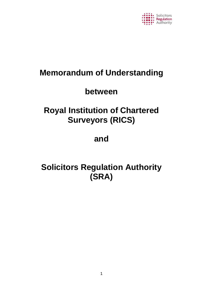

# **Memorandum of Understanding**

# **between**

# **Royal Institution of Chartered Surveyors (RICS)**

# **and**

# **Solicitors Regulation Authority (SRA)**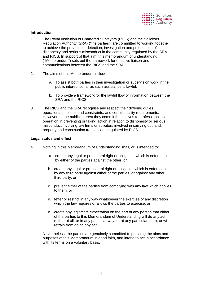

# **Introduction**

- 1. The Royal Institution of Chartered Surveyors (RICS) and the Solicitors Regulation Authority (SRA) ("the parties") are committed to working together to achieve the prevention, detection, investigation and prosecution of dishonesty and serious misconduct in the community regulated by the SRA and RICS. In support of that aim, this memorandum of understanding ("Memorandum") sets out the framework for effective liaison and communications between the RICS and the SRA.
- 2. The aims of this Memorandum include:
	- a. To assist both parties in their investigation or supervision work in the public interest so far as such assistance is lawful;
	- b. To provide a framework for the lawful flow of information between the SRA and the RICS.
- 3. The RICS and the SRA recognise and respect their differing duties, operational priorities and constraints, and confidentiality requirements. However, in the public interest they commit themselves to professional cooperation in preventing or taking action in relation to dishonesty or serious misconduct involving law firms or solicitors involved in carrying out land, property and construction transactions regulated by RICS.

# **Legal status and effect**

- 4. Nothing in this Memorandum of Understanding shall, or is intended to:
	- a. create any legal or procedural right or obligation which is enforceable by either of the parties against the other; or
	- b. create any legal or procedural right or obligation which is enforceable by any third party against either of the parties, or against any other third party; or
	- c. prevent either of the parties from complying with any law which applies to them; or
	- d. fetter or restrict in any way whatsoever the exercise of any discretion which the law requires or allows the parties to exercise; or
	- e. create any legitimate expectation on the part of any person that either of the parties to this Memorandum of Understanding will do any act (either at all, or in any particular way, or at any particular time), or will refrain from doing any act.

Nevertheless, the parties are genuinely committed to pursuing the aims and purposes of this Memorandum in good faith, and intend to act in accordance with its terms on a voluntary basis.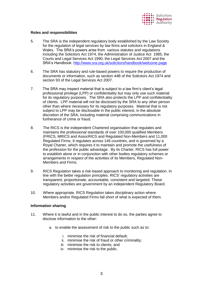

## **Roles and responsibilities**

- 5. The SRA is the independent regulatory body established by the Law Society for the regulation of legal services by law firms and solicitors in England & Wales. The SRA's powers arise from various statutes and regulations including the Solicitors Act 1974, the Administration of Justice Act 1985, the Courts and Legal Services Act 1990, the Legal Services Act 2007 and the SRA's Handbook:<http://www.sra.org.uk/solicitors/handbook/welcome.page>
- 6. The SRA has statutory and rule-based powers to require the production of documents or information, such as section 44B of the Solicitors Act 1974 and section 93 of the Legal Services Act 2007.
- 7. The SRA may inspect material that is subject to a law firm's client's legal professional privilege (LPP) or confidentiality but may only use such material for its regulatory purposes. The SRA also protects the LPP and confidentiality of clients. LPP material will not be disclosed by the SRA to any other person other than where necessary for its regulatory purposes. Material that is not subject to LPP may be disclosable in the public interest, in the absolute discretion of the SRA, including material comprising communications in furtherance of crime or fraud.
- 8. The RICS is the independent Chartered organisation that regulates and maintains the professional standards of over 100,000 qualified Members (FRICS, MRICS and AssocRICS and Regulated Non-Members and 11,000 Regulated Firms. It regulates across 146 countries, and is governed by a Royal Charter, which requires it to maintain and promote the usefulness of the profession for the public advantage. By its Charter, RICS has full power to establish alone or in conjunction with other bodies regulatory schemes or arrangements in respect of the activities of its Members, Regulated Non-Members and Firms.
- 9. RICS Regulation takes a risk-based approach to monitoring and regulation. In line with the better regulation principles. RICS' regulatory activities are transparent, proportionate, accountable, consistent and targeted. These regulatory activities are government by an independent Regulatory Board.
- 10. Where appropriate, RICS Regulation takes disciplinary action where Members and/or Regulated Firms fall short of what is expected of them.

#### **Information sharing**

- 11. Where it is lawful and in the public interest to do so, the parties agree to disclose information to the other:
	- a. to enable the assessment of risk to the public such as to:
		- i. minimise the risk of financial default;
		- ii. minimise the risk of fraud or other criminality;
		- iii. minimise the risk to clients; and
		- iv. minimise the risk to the public.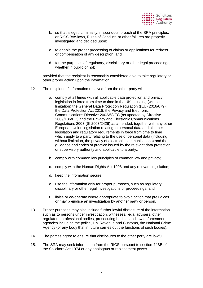

- b. so that alleged criminality, misconduct, breach of the SRA principles, or RICS Bye-laws, Rules of Conduct, or other failures are properly investigated and decided upon;
- c. to enable the proper processing of claims or applications for redress or compensation of any description; and
- d. for the purposes of regulatory, disciplinary or other legal proceedings, whether in public or not;

provided that the recipient is reasonably considered able to take regulatory or other proper action upon the information.

- 12. The recipient of information received from the other party will:
	- a. comply at all times with all applicable data protection and privacy legislation in force from time to time in the UK including (without limitation) the General Data Protection Regulation ((EU) 2016/679); the Data Protection Act 2018; the Privacy and Electronic Communications Directive 2002/58/EC (as updated by Directive 2009/136/EC) and the Privacy and Electronic Communications Regulations 2003 (SI 2003/2426) as amended, together with any other European Union legislation relating to personal data and all other legislation and regulatory requirements in force from time to time which apply to a party relating to the use of personal data (including, without limitation, the privacy of electronic communications) and the guidance and codes of practice issued by the relevant data protection or supervisory authority and applicable to a party;;
	- b. comply with common law principles of common law and privacy;
	- c. comply with the Human Rights Act 1998 and any relevant legislation;
	- d. keep the information secure;
	- e. use the information only for proper purposes, such as regulatory, disciplinary or other legal investigations or proceedings; and
	- f. liaise or co-operate where appropriate to avoid action that prejudices or may prejudice an investigation by another party or person.
- 13. Proper purposes may also include further lawful disclosure of the information such as to persons under investigation, witnesses, legal advisers, other regulators, professional bodies, prosecuting bodies, and law enforcement agencies including the police, HM Revenue and Customs, the National Crime Agency (or any body that in future carries out the functions of such bodies).
- 14. The parties agree to ensure that disclosures to the other party are lawful.
- 15. The SRA may seek information from the RICS pursuant to section 44BB of the Solicitors Act 1974 or any analogous or replacement power.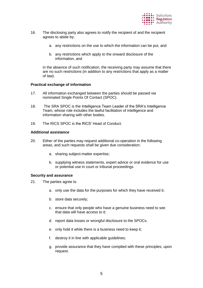

- 16. The disclosing party also agrees to notify the recipient of and the recipient agrees to abide by:
	- a. any restrictions on the use to which the information can be put, and
	- b. any restrictions which apply to the onward disclosure of the information, and

in the absence of such notification, the receiving party may assume that there are no such restrictions (in addition to any restrictions that apply as a matter of law).

#### **Practical exchange of information**

- 17. All information exchanged between the parties should be passed via nominated Single Points Of Contact (SPOC).
- 18. The SRA SPOC is the Intelligence Team Leader of the SRA's Intelligence Team, whose role includes the lawful facilitation of intelligence and information sharing with other bodies.
- 19. The RICS SPOC is the RICS' Head of Conduct.

## **Additional assistance**

- 20. Either of the parties may request additional co-operation in the following areas, and such requests shall be given due consideration:
	- a. sharing subject-matter expertise;
	- b. supplying witness statements, expert advice or oral evidence for use or potential use in court or tribunal proceedings

#### **Security and assurance**

- 21. The parties agree to
	- a. only use the data for the purposes for which they have received it;
	- b. store data securely;
	- c. ensure that only people who have a genuine business need to see that data will have access to it;
	- d. report data losses or wrongful disclosure to the SPOCs.
	- e. only hold it while there is a business need to keep it;
	- f. destroy it in line with applicable guidelines;
	- g. provide assurance that they have complied with these principles, upon request.